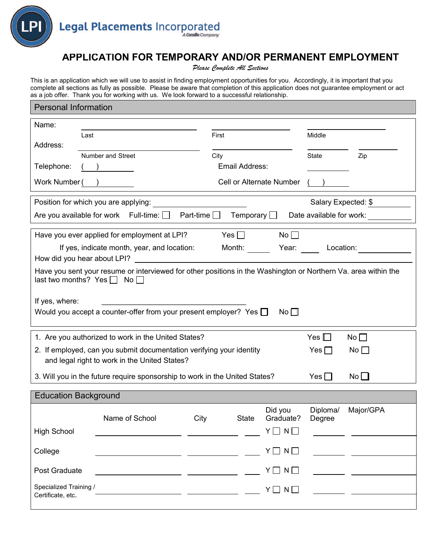

Certificate, etc. Y N

### **APPLICATION FOR TEMPORARY AND/OR PERMANENT EMPLOYMENT APPLICATION FOR TEMPORARY AND/OR PERMANENT EMPLOYMENT APPLICATION FOR TEMPORARY AND/OR PERMANENT EMPLOYMENT** Please Complete All Sections **APPLICATION FOR TEMPORARY AND/OR PERMANENT EMPLOYMENT APPLICATION FOR TEMPORARY AND/OR PERMANENT EMPLOYMENT**

complete all sections as fully as possible. Please be aware that completion of this application does not guarantee employment or act<br>as a job offer. Thank you for working with us. We look forward to a successful relationsh as a job offer. Thank you for working with us. We look forward to a successful relationship. This is an application which we will use to assist in finding employment opportunities for you. Accordingly, it is important that you as a job offer. Thank you for working with us. We look forward to a successful relationship. This is an application which we will use to assist in finding employment opportunities for you. Accordingly, it is important that you

| as a job offer. Thank you for working with us. We look forward to a successful relationship.<br><b>Personal Information</b>                             |                                                                                                                       |       |                  |                                 |                          |                 |
|---------------------------------------------------------------------------------------------------------------------------------------------------------|-----------------------------------------------------------------------------------------------------------------------|-------|------------------|---------------------------------|--------------------------|-----------------|
|                                                                                                                                                         |                                                                                                                       |       |                  |                                 |                          |                 |
| Name:<br>Last                                                                                                                                           |                                                                                                                       | First |                  |                                 | Middle                   |                 |
| Address:                                                                                                                                                |                                                                                                                       |       |                  |                                 |                          |                 |
|                                                                                                                                                         | Number and Street                                                                                                     | City  |                  |                                 | State                    | Zip             |
| Telephone:                                                                                                                                              |                                                                                                                       |       | Email Address:   |                                 |                          |                 |
| Work Number (                                                                                                                                           |                                                                                                                       |       |                  | <b>Cell or Alternate Number</b> |                          |                 |
|                                                                                                                                                         | Position for which you are applying:                                                                                  |       |                  |                                 | Salary Expected: \$      |                 |
|                                                                                                                                                         | Are you available for work Full-time: □ Part-time □                                                                   |       | Temporary $\Box$ |                                 | Date available for work: |                 |
|                                                                                                                                                         | Have you ever applied for employment at LPI?                                                                          |       | $Yes \Box$       | No                              |                          |                 |
|                                                                                                                                                         | If yes, indicate month, year, and location:<br>How did you hear about LPI?                                            |       |                  | Month: Year: Location:          |                          |                 |
|                                                                                                                                                         |                                                                                                                       |       |                  |                                 |                          |                 |
|                                                                                                                                                         |                                                                                                                       |       |                  |                                 |                          |                 |
| Have you sent your resume or interviewed for other positions in the Washington or Northern Va. area within the<br>last two months? Yes $\Box$ No $\Box$ |                                                                                                                       |       |                  |                                 |                          |                 |
|                                                                                                                                                         |                                                                                                                       |       |                  |                                 |                          |                 |
| If yes, where:                                                                                                                                          | Would you accept a counter-offer from your present employer? Yes $\Box$                                               |       |                  | $No \Box$                       |                          |                 |
|                                                                                                                                                         |                                                                                                                       |       |                  |                                 |                          |                 |
|                                                                                                                                                         | 1. Are you authorized to work in the United States?                                                                   |       |                  |                                 | Yes $\Box$               | $No \Box$       |
|                                                                                                                                                         | 2. If employed, can you submit documentation verifying your identity                                                  |       |                  |                                 | Yes $\Box$               | No $\Box$       |
|                                                                                                                                                         | and legal right to work in the United States?                                                                         |       |                  |                                 |                          |                 |
|                                                                                                                                                         | 3. Will you in the future require sponsorship to work in the United States?                                           |       |                  |                                 | $Yes \Box$               | No <sub>1</sub> |
|                                                                                                                                                         |                                                                                                                       |       |                  |                                 |                          |                 |
| <b>Education Background</b>                                                                                                                             |                                                                                                                       |       |                  |                                 |                          |                 |
|                                                                                                                                                         | Name of School                                                                                                        | City  | <b>State</b>     | Did you<br>Graduate?            | Diploma/<br>Degree       | Major/GPA       |
| <b>High School</b>                                                                                                                                      |                                                                                                                       |       |                  | $Y \Box N \Box$                 |                          |                 |
| College                                                                                                                                                 |                                                                                                                       |       |                  | $Y \Box N \Box$                 |                          |                 |
|                                                                                                                                                         | <u> 1989 - Johann Marie Barn, mars eta industrial eta industrial eta industrial eta industrial eta industrial eta</u> |       |                  |                                 |                          |                 |
| Post Graduate                                                                                                                                           |                                                                                                                       |       |                  | $Y \bigcap N \bigcap$           |                          |                 |
| Specialized Training /<br>Certificate, etc.                                                                                                             |                                                                                                                       |       |                  | $Y \Box N \Box$                 |                          |                 |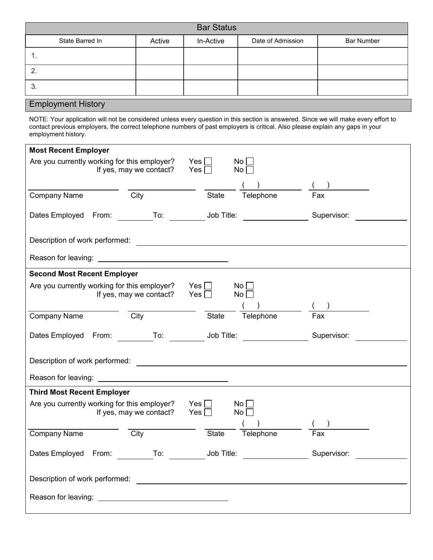| <b>Bar Status</b> |        |           |                   |                   |
|-------------------|--------|-----------|-------------------|-------------------|
| State Barred In   | Active | In-Active | Date of Admission | <b>Bar Number</b> |
| . .               |        |           |                   |                   |
| <u>.</u>          |        |           |                   |                   |
| .ა.               |        |           |                   |                   |

#### Employment History Employment History<br>Description of work performed:  $\overline{a}$ Employment History Employment History

NOTE: Your application will not be considered unless every question in this section is answered. Since we will make every effort to contact previous employers, the correct telephone numbers of past employers is critical. Also please explain any gaps in your employment history. NOTE: You application will not be considered unless every  $\mathcal{A}$  and  $\mathcal{A}$  and  $\mathcal{A}$  and  $\mathcal{A}$  and  $\mathcal{A}$ NOTE: Your application will not be considered unless every question in this section is answered. Since we will make every eff NOTE: Your application will no<br>contact previous employers, tł n.p.o.j Somalo who displayed unless the consolidation in this section is analogue will have will make every every effort to this section is analogue to this section is analogue to this section of the section of the section of the comployment metery. NOTE:  $\alpha$  is explication will not be considered unless every question in this section is answered. Since we will make  $\alpha$  is an in the section in the section in the section in the section is an in the section of  $\alpha$  is contact previous employers, the correct telephone numbers of past employers is complex please the plant and  $\alpha$ NOTE: Your application will not be <mark>c</mark> Description of work performed: employment history. The starting of  $\mathcal{S}$  and  $\mathcal{S}$  reason for leaving  $\mathcal{S}$  and  $\mathcal{S}$  and  $\mathcal{S}$  are as  $\mathcal{S}$  and  $\mathcal{S}$  are as  $\mathcal{S}$  and  $\mathcal{S}$  are as  $\mathcal{S}$  and  $\mathcal{S}$  are as  $\mathcal{S}$  and  $\math$  $\overline{D}$  Description  $\overline{D}$  and  $\overline{D}$  and  $\overline{D}$  and  $\overline{D}$  and  $\overline{D}$  are  $\overline{D}$ oth: Your application will not be considered unless every make every the unless every considered unless every t<br>Applyment history comployers, the correct telephone numbers of past employers is called the correct telephone numbers in  $\mathcal{L}$  $NOTF: Your$  annlication wil  $\frac{1}{2}$  contact previous employers the correct telephone numbers of past employers is critical. Also please explain any gaps in your contact previous employers, the correct telephone numbers of past employers is contact the please explain any gaps in your<br>employment bistory employment history. employment history. contact previous employers, the correct telephone numbers of past employers is critica Completion considers. sontact provided omployere, the center telephone nambers or pack employere to entice<br>employment history NOTE: Your application will not be considered unless every question in this section is answered. Make every effort to  $\alpha$ contact previous employers, the correct telephone numbers of past employers is critical. Also please explain any gaps in your<br>employment bioteny employment history. NOTE: Your application will not be considered unless every question in this section is answered. Since we will make every effort to contact previous employers, the correct telephone numbers of past employers is critical. Also please explain any gaps in your employment history.

| Are you currently working for this employer?<br>Yes $\Box$<br>Yes $\Box$<br>If yes, may we contact? |                                                                                                             | No<br>No                          |                                                                                        |
|-----------------------------------------------------------------------------------------------------|-------------------------------------------------------------------------------------------------------------|-----------------------------------|----------------------------------------------------------------------------------------|
|                                                                                                     |                                                                                                             |                                   |                                                                                        |
|                                                                                                     | State                                                                                                       | Telephone                         | Fax                                                                                    |
|                                                                                                     |                                                                                                             |                                   | Supervisor:                                                                            |
|                                                                                                     |                                                                                                             |                                   |                                                                                        |
|                                                                                                     |                                                                                                             |                                   |                                                                                        |
|                                                                                                     |                                                                                                             |                                   |                                                                                        |
|                                                                                                     |                                                                                                             |                                   |                                                                                        |
|                                                                                                     |                                                                                                             | Telephone                         | Fax                                                                                    |
|                                                                                                     |                                                                                                             |                                   | Supervisor:                                                                            |
|                                                                                                     |                                                                                                             |                                   |                                                                                        |
|                                                                                                     |                                                                                                             |                                   |                                                                                        |
|                                                                                                     |                                                                                                             |                                   |                                                                                        |
| Yes $\Box$<br>Are you currently working for this employer?<br>If yes, may we contact?<br>Yes $\Box$ |                                                                                                             | No<br>No $\square$                |                                                                                        |
| $\overline{City}$                                                                                   | State                                                                                                       | Telephone                         | Fax                                                                                    |
| <b>Second Most Recent Employer</b>                                                                  | <b>City</b><br>Are you currently working for this employer?<br>If yes, may we contact?<br>$\overline{City}$ | Yes $\Box$<br>Yes $\Box$<br>State | Dates Employed From: To: Job Title:<br>No<br>No<br>Dates Employed From: To: Job Title: |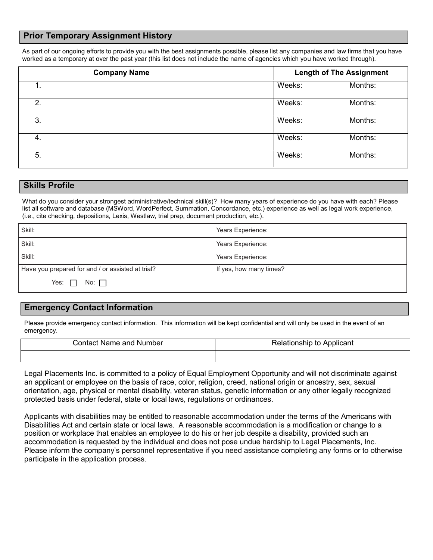## **Prior Temporary Assignment History**

As part of our ongoing efforts to provide you with the best assignments possible, please list any companies and law firms that you have worked as a temporary at over the past year (this list does not include the name of agencies which you have worked through).

| <b>Company Name</b> |        | <b>Length of The Assignment</b> |  |
|---------------------|--------|---------------------------------|--|
|                     | Weeks: | Months:                         |  |
| 2.                  | Weeks: | Months:                         |  |
| 3.                  | Weeks: | Months:                         |  |
| 4.                  | Weeks: | Months:                         |  |
| 5.                  | Weeks: | Months:                         |  |

#### **Skills Profile** Telephone: ( ) Email Address: **Skills Profile**

What do you consider your strongest administrative/technical skill(s)? How many years of experience do you have with each? Please list all software and database (MŠWord, WordPerfect, Summation, Concordance, etc.) experience as well as legal work experience, (i.e., cite checking, depositions, Lexis, Westlaw, trial prep, document production, etc.). (2008)  $W_{\rm eff}$  ) can be a set of  $C_{\rm eff}$  ( ) can be a set of  $C_{\rm eff}$  ( ) can be a set of  $\alpha$ 

| Skill:                                            | Years Experience:       |
|---------------------------------------------------|-------------------------|
| Skill:                                            | Years Experience:       |
| Skill:                                            | Years Experience:       |
| Have you prepared for and / or assisted at trial? | If yes, how many times? |
| Yes: $\Box$<br>No: $\Box$                         |                         |

### **Emergency Contact Information Emergency Contact Information**

Please provide emergency contact information. This information will be kept confidential and will only be used in the event of an Please provide emergency contact information. This information will be kept confidential and will only be used in the event of an emergency.

| <b>Contact Name and Number</b> | Relationship to Applicant |
|--------------------------------|---------------------------|
|                                |                           |

Legal Placements Inc. is committed to a policy of Equal Employment Opportunity and will not discriminate against an applicant or employee on the basis of race, color, religion, creed, national origin or ancestry, sex, sexual orientation, age, physical or mental disability, veteran status, genetic information or any other legally recognized protected basis under federal, state or local laws, regulations or ordinances.

**EEOC Statement:** Legal Placements Inc., is fully committed to Equal Employment Opportunity, and to attracting the most qualified applicants without regard to their race,

Applicants with disabilities may be entitled to reasonable accommodation under the terms of the Americans with Disabilities Act and certain state or local laws. A reasonable accommodation is a modification or change to a position or workplace that enables an employee to do his or her job despite a disability, provided such an accommodation is requested by the individual and does not pose undue hardship to Legal Placements, Inc. Please inform the company's personnel representative if you need assistance completing any forms or to otherwise pur referrences as an experimental process. Legal Placements, Inc. further has my permission to the inc. Further contract my resume to the inc. Further clients. Should also the inc. Should also the inc. Should also the inc participate in the application process.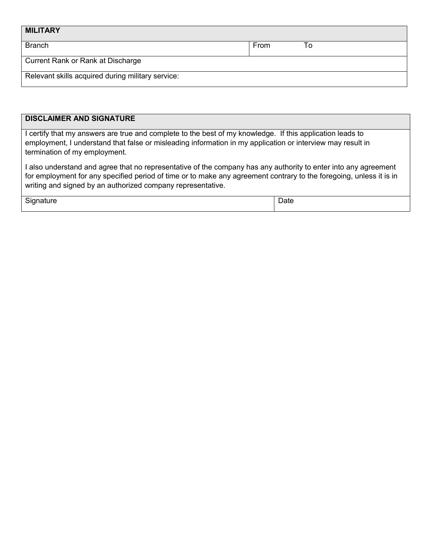| <b>MILITARY</b>                                   |            |
|---------------------------------------------------|------------|
| <b>Branch</b>                                     | From<br>1o |
| Current Rank or Rank at Discharge                 |            |
| Relevant skills acquired during military service: |            |

# **DISCLAIMER AND SIGNATURE**

Formy that my anomore are that alse or misleading information in my application or interview may result in employment, I understand that false or misleading information in my application or interview may result in termination of my employment. I certify that my answers are true and complete to the best of my knowledge. If this application leads to

I also understand and agree that no representative of the company has any authority to enter into any agreement for employment for any specified period of time or to make any agreement contrary to the foregoing, unless it is in<br>. writing and signed by an authorized company representative.

| $\sim$ | - -<br>Lt<br>$  -$ |
|--------|--------------------|